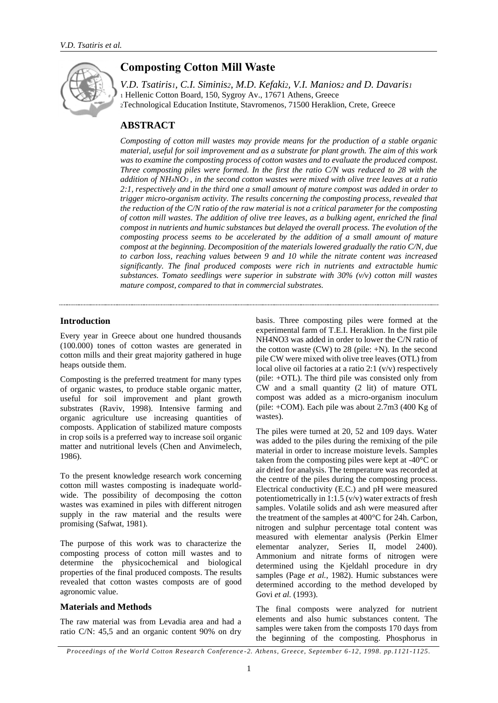

# **Composting Cotton Mill Waste**

*V.D. Tsatiris1, C.I. Siminis2, M.D. Kefaki2, V.I. Manios<sup>2</sup> and D. Davaris<sup>1</sup>* <sup>1</sup> Hellenic Cotton Board, 150, Sygroy Av., 17671 Athens, Greece <sup>2</sup>Technological Education Institute, Stavromenos, 71500 Heraklion, Crete, Greece

## **ABSTRACT**

*Composting of cotton mill wastes may provide means for the production of a stable organic material, useful for soil improvement and as a substrate for plant growth. The aim of this work*  was to examine the composting process of cotton wastes and to evaluate the produced compost. *Three composting piles were formed. In the first the ratio C/N was reduced to 28 with the addition of NH4NO3 , in the second cotton wastes were mixed with olive tree leaves at a ratio 2:1, respectively and in the third one a small amount of mature compost was added in order to trigger micro-organism activity. The results concerning the composting process, revealed that the reduction of the C/N ratio of the raw material is not a critical parameter for the composting of cotton mill wastes. The addition of olive tree leaves, as a bulking agent, enriched the final compost in nutrients and humic substances but delayed the overall process. The evolution of the composting process seems to be accelerated by the addition of a small amount of mature compost at the beginning. Decomposition of the materials lowered gradually the ratio C/N, due to carbon loss, reaching values between 9 and 10 while the nitrate content was increased significantly. The final produced composts were rich in nutrients and extractable humic substances. Tomato seedlings were superior in substrate with 30% (v/v) cotton mill wastes mature compost, compared to that in commercial substrates.*

### **Introduction**

Every year in Greece about one hundred thousands (100.000) tones of cotton wastes are generated in cotton mills and their great majority gathered in huge heaps outside them.

Composting is the preferred treatment for many types of organic wastes, to produce stable organic matter, useful for soil improvement and plant growth substrates (Raviv, 1998). Intensive farming and organic agriculture use increasing quantities of composts. Application of stabilized mature composts in crop soils is a preferred way to increase soil organic matter and nutritional levels (Chen and Anvimelech, 1986).

To the present knowledge research work concerning cotton mill wastes composting is inadequate worldwide. The possibility of decomposing the cotton wastes was examined in piles with different nitrogen supply in the raw material and the results were promising (Safwat, 1981).

The purpose of this work was to characterize the composting process of cotton mill wastes and to determine the physicochemical and biological properties of the final produced composts. The results revealed that cotton wastes composts are of good agronomic value.

#### **Materials and Methods**

The raw material was from Levadia area and had a ratio C/N: 45,5 and an organic content 90% on dry basis. Three composting piles were formed at the experimental farm of T.E.I. Heraklion. In the first pile NH4NO3 was added in order to lower the C/N ratio of the cotton waste  $(CW)$  to 28 (pile:  $+N$ ). In the second pile CW were mixed with olive tree leaves (OTL) from local olive oil factories at a ratio 2:1 (v/v) respectively (pile: +OTL). The third pile was consisted only from CW and a small quantity (2 lit) of mature OTL compost was added as a micro-organism inoculum (pile: +COM). Each pile was about 2.7m3 (400 Kg of wastes).

The piles were turned at 20, 52 and 109 days. Water was added to the piles during the remixing of the pile material in order to increase moisture levels. Samples taken from the composting piles were kept at -40°C or air dried for analysis. The temperature was recorded at the centre of the piles during the composting process. Electrical conductivity (E.C.) and pH were measured potentiometrically in 1:1.5 (v/v) water extracts of fresh samples. Volatile solids and ash were measured after the treatment of the samples at 400°C for 24h. Carbon, nitrogen and sulphur percentage total content was measured with elementar analysis (Perkin Elmer elementar analyzer, Series II, model 2400). Ammonium and nitrate forms of nitrogen were determined using the Kjeldahl procedure in dry samples (Page *et al.*, 1982). Humic substances were determined according to the method developed by Govi *et al.* (1993).

The final composts were analyzed for nutrient elements and also humic substances content. The samples were taken from the composts 170 days from the beginning of the composting. Phosphorus in

*Proceedings of the World Cotton Research Conference -2. Athens, Greece, September 6-12, 1998. pp.1121-1125.*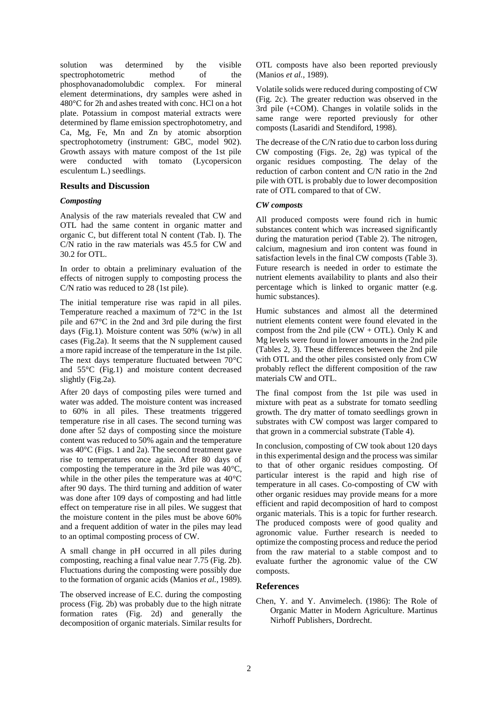solution was determined by the visible spectrophotometric method of the phosphovanadomolubdic complex. For mineral element determinations, dry samples were ashed in 480°C for 2h and ashes treated with conc. HCl on a hot plate. Potassium in compost material extracts were determined by flame emission spectrophotometry, and Ca, Mg, Fe, Mn and Zn by atomic absorption spectrophotometry (instrument: GBC, model 902). Growth assays with mature compost of the 1st pile were conducted with tomato (Lycopersicon esculentum L.) seedlings.

#### **Results and Discussion**

#### *Composting*

Analysis of the raw materials revealed that CW and OTL had the same content in organic matter and organic C, but different total N content (Tab. I). The C/N ratio in the raw materials was 45.5 for CW and 30.2 for OTL.

In order to obtain a preliminary evaluation of the effects of nitrogen supply to composting process the C/N ratio was reduced to 28 (1st pile).

The initial temperature rise was rapid in all piles. Temperature reached a maximum of 72°C in the 1st pile and 67°C in the 2nd and 3rd pile during the first days (Fig.1). Moisture content was 50% (w/w) in all cases (Fig.2a). It seems that the N supplement caused a more rapid increase of the temperature in the 1st pile. The next days temperature fluctuated between 70°C and 55°C (Fig.1) and moisture content decreased slightly (Fig.2a).

After 20 days of composting piles were turned and water was added. The moisture content was increased to 60% in all piles. These treatments triggered temperature rise in all cases. The second turning was done after 52 days of composting since the moisture content was reduced to 50% again and the temperature was 40°C (Figs. 1 and 2a). The second treatment gave rise to temperatures once again. After 80 days of composting the temperature in the 3rd pile was 40°C, while in the other piles the temperature was at 40°C after 90 days. The third turning and addition of water was done after 109 days of composting and had little effect on temperature rise in all piles. We suggest that the moisture content in the piles must be above 60% and a frequent addition of water in the piles may lead to an optimal composting process of CW.

A small change in pH occurred in all piles during composting, reaching a final value near 7.75 (Fig. 2b). Fluctuations during the composting were possibly due to the formation of organic acids (Manios *et al.*, 1989).

The observed increase of E.C. during the composting process (Fig. 2b) was probably due to the high nitrate formation rates (Fig. 2d) and generally the decomposition of organic materials. Similar results for

OTL composts have also been reported previously (Manios *et al.*, 1989).

Volatile solids were reduced during composting of CW (Fig. 2c). The greater reduction was observed in the 3rd pile (+COM). Changes in volatile solids in the same range were reported previously for other composts (Lasaridi and Stendiford, 1998).

The decrease of the C/N ratio due to carbon loss during CW composting (Figs. 2e, 2g) was typical of the organic residues composting. The delay of the reduction of carbon content and C/N ratio in the 2nd pile with OTL is probably due to lower decomposition rate of OTL compared to that of CW.

#### *CW composts*

All produced composts were found rich in humic substances content which was increased significantly during the maturation period (Table 2). The nitrogen, calcium, magnesium and iron content was found in satisfaction levels in the final CW composts (Table 3). Future research is needed in order to estimate the nutrient elements availability to plants and also their percentage which is linked to organic matter (e.g. humic substances).

Humic substances and almost all the determined nutrient elements content were found elevated in the compost from the 2nd pile  $(CW + OTL)$ . Only K and Mg levels were found in lower amounts in the 2nd pile (Tables 2, 3). These differences between the 2nd pile with OTL and the other piles consisted only from CW probably reflect the different composition of the raw materials CW and OTL.

The final compost from the 1st pile was used in mixture with peat as a substrate for tomato seedling growth. The dry matter of tomato seedlings grown in substrates with CW compost was larger compared to that grown in a commercial substrate (Table 4).

In conclusion, composting of CW took about 120 days in this experimental design and the process was similar to that of other organic residues composting. Of particular interest is the rapid and high rise of temperature in all cases. Co-composting of CW with other organic residues may provide means for a more efficient and rapid decomposition of hard to compost organic materials. This is a topic for further research. The produced composts were of good quality and agronomic value. Further research is needed to optimize the composting process and reduce the period from the raw material to a stable compost and to evaluate further the agronomic value of the CW composts.

#### **References**

Chen, Y. and Y. Anvimelech. (1986): The Role of Organic Matter in Modern Agriculture. Martinus Nirhoff Publishers, Dordrecht.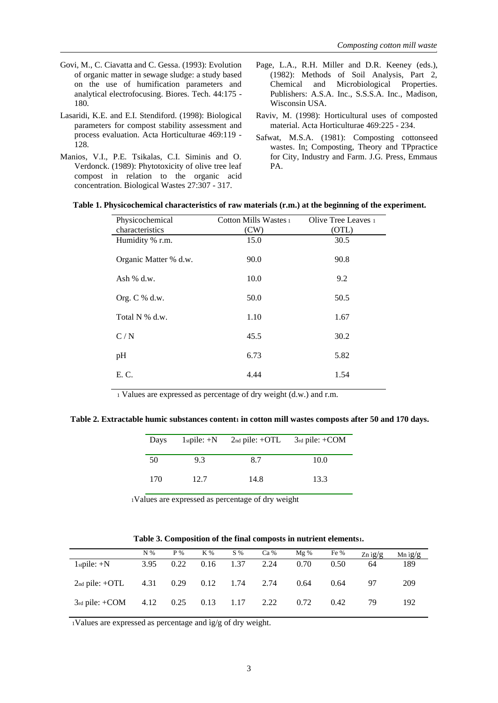- Govi, M., C. Ciavatta and C. Gessa. (1993): Evolution of organic matter in sewage sludge: a study based on the use of humification parameters and analytical electrofocusing. Biores. Tech. 44:175 - 180.
- Lasaridi, K.E. and E.I. Stendiford. (1998): Biological parameters for compost stability assessment and process evaluation. Acta Horticulturae 469:119 - 128.
- Manios, V.I., P.E. Tsikalas, C.I. Siminis and O. Verdonck. (1989): Phytotoxicity of olive tree leaf compost in relation to the organic acid concentration. Biological Wastes 27:307 - 317.
- Page, L.A., R.H. Miller and D.R. Keeney (eds.), (1982): Methods of Soil Analysis, Part 2, Chemical and Microbiological Properties. Publishers: A.S.A. Inc., S.S.S.A. Inc., Madison, Wisconsin USA.
- Raviv, M. (1998): Horticultural uses of composted material. Acta Horticulturae 469:225 - 234.
- Safwat, M.S.A. (1981): Composting cottonseed wastes. In: Composting, Theory and TPpractice for City, Industry and Farm. J.G. Press, Emmaus PA.

| Physicochemical       | Cotton Mills Wastes 1 | Olive Tree Leaves 1 |
|-----------------------|-----------------------|---------------------|
| characteristics       | (CW)                  | (OTL)               |
| Humidity % r.m.       | 15.0                  | 30.5                |
| Organic Matter % d.w. | 90.0                  | 90.8                |
| Ash $%$ d.w.          | 10.0                  | 9.2                 |
| Org. $C$ % d.w.       | 50.0                  | 50.5                |
| Total N % d.w.        | 1.10                  | 1.67                |
| C/N                   | 45.5                  | 30.2                |
| pH                    | 6.73                  | 5.82                |
| E. C.                 | 4.44                  | 1.54                |

**Table 1. Physicochemical characteristics of raw materials (r.m.) at the beginning of the experiment.**

<sup>1</sup> Values are expressed as percentage of dry weight (d.w.) and r.m.

**Table 2. Extractable humic substances content<sup>1</sup> in cotton mill wastes composts after 50 and 170 days.**

| Days | $1stpile: +N$ | $2nd$ pile: +OTL | $3rd$ pile: +COM |
|------|---------------|------------------|------------------|
| 50   | 9.3           | 8.7              | 10.0             |
| 170  | 12.7          | 14.8             | 13.3             |

<sup>1</sup>Values are expressed as percentage of dry weight

|                       | N %  | P%               | K %  | $S\%$ | Ca % | Mg%  | Fe % | $Zn$ ig/g | Mn $ig/g$ |
|-----------------------|------|------------------|------|-------|------|------|------|-----------|-----------|
| $1stpile: +N$         | 3.95 | 0.22             | 0.16 | 1.37  | 2.24 | 0.70 | 0.50 | 64        | 189       |
| $2nd$ pile: +OTL      |      | 4.31  0.29  0.12 |      | 1.74  | 2.74 | 0.64 | 0.64 | 97        | 209       |
| $3rd$ pile: +COM 4.12 |      | $0.25$ 0.13      |      | 1.17  | 2.22 | 0.72 | 0.42 | 79        | 192       |

<sup>1</sup>Values are expressed as percentage and ìg/g of dry weight.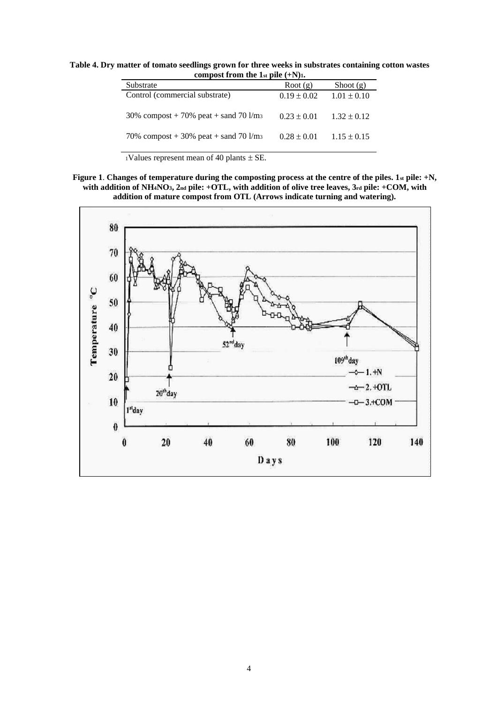**Table 4. Dry matter of tomato seedlings grown for three weeks in substrates containing cotton wastes compost from the 1**<sup>st</sup> **pile**  $(+N)$ **1***.* 

| COMPOSE IT OILL THE 131 PHC $(111)$      |                 |                 |  |  |
|------------------------------------------|-----------------|-----------------|--|--|
| Substrate                                | Root $(g)$      | Shoot $(g)$     |  |  |
| Control (commercial substrate)           | $0.19 \pm 0.02$ | $1.01 \pm 0.10$ |  |  |
| 30% compost + 70% peat + sand 70 $1/m_3$ | $0.23 \pm 0.01$ | $1.32 \pm 0.12$ |  |  |
| 70% compost + 30% peat + sand 70 $1/m3$  | $0.28 \pm 0.01$ | $1.15 \pm 0.15$ |  |  |

 $1$ Values represent mean of 40 plants  $\pm$  SE.

**Figure 1**. **Changes of temperature during the composting process at the centre of the piles. 1st pile: +N, with addition of NH4NO3, 2nd pile: +OTL, with addition of olive tree leaves, 3rd pile: +COM, with addition of mature compost from OTL (Arrows indicate turning and watering).**